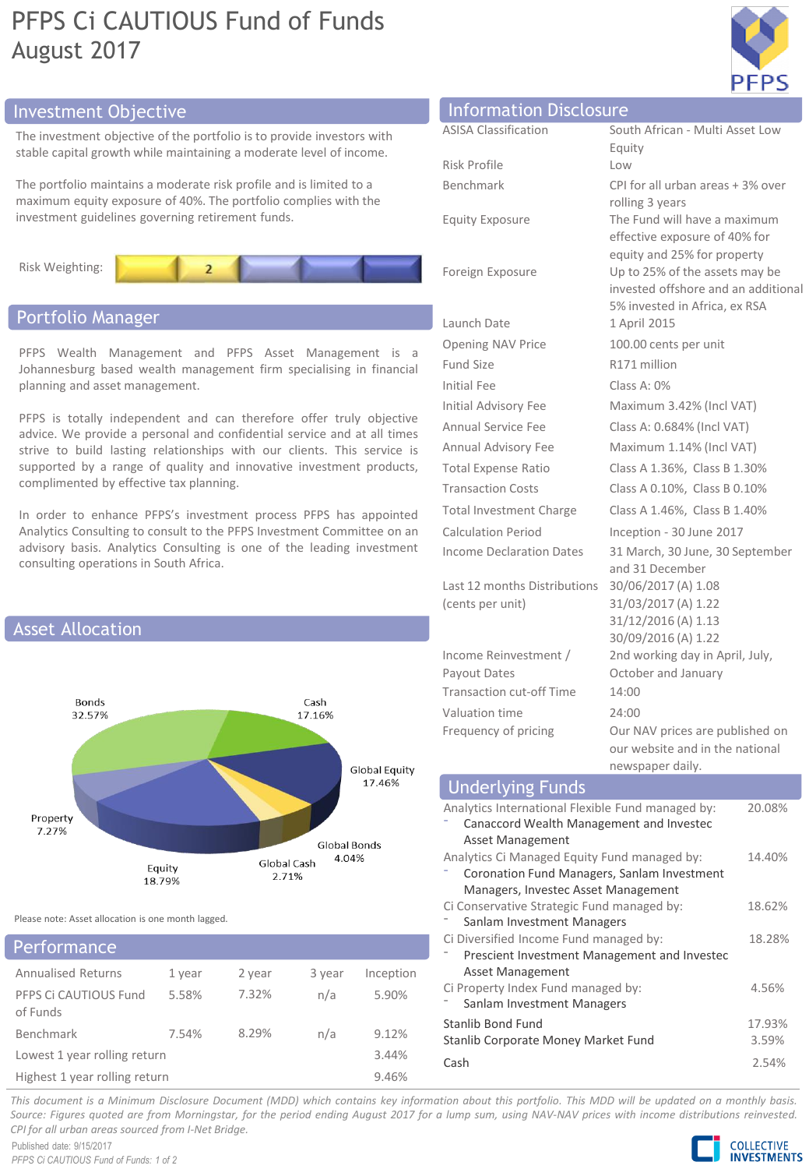## PFPS Ci CAUTIOUS Fund of Funds August 2017



## Investment Objective Information Disclosure

The investment objective of the portfolio is to provide investors with stable capital growth while maintaining a moderate level of income.

The portfolio maintains a moderate risk profile and is limited to a maximum equity exposure of 40%. The portfolio complies with the investment guidelines governing retirement funds.



## Portfolio Manager

PFPS Wealth Management and PFPS Asset Management is a Johannesburg based wealth management firm specialising in financial planning and asset management.

PFPS is totally independent and can therefore offer truly objective advice. We provide a personal and confidential service and at all times strive to build lasting relationships with our clients. This service is supported by a range of quality and innovative investment products, complimented by effective tax planning.

In order to enhance PFPS's investment process PFPS has appointed Analytics Consulting to consult to the PFPS Investment Committee on an advisory basis. Analytics Consulting is one of the leading investment consulting operations in South Africa.



Please note: Asset allocation is one month lagged.

### Annualised Returns 1 year 2 year 3 year Inception PFPS Ci CAUTIOUS Fund of Funds 5.58% 7.32% n/a 5.90% Benchmark 7.54% 8.29% n/a 9.12% Lowest 1 year rolling return 3.44% Highest 1 year rolling return 9.46% Performance

| <b>INTOINTACIÓN DISCIDSUIT</b>  |                                                 |
|---------------------------------|-------------------------------------------------|
| <b>ASISA Classification</b>     | South African - Multi Asset Low                 |
|                                 | Equity                                          |
| Risk Profile                    | Low                                             |
| Benchmark                       | CPI for all urban areas + 3% over               |
|                                 | rolling 3 years<br>The Fund will have a maximum |
| <b>Equity Exposure</b>          | effective exposure of 40% for                   |
|                                 | equity and 25% for property                     |
| Foreign Exposure                | Up to 25% of the assets may be                  |
|                                 | invested offshore and an additional             |
| Launch Date                     | 5% invested in Africa, ex RSA<br>1 April 2015   |
| <b>Opening NAV Price</b>        | 100.00 cents per unit                           |
| <b>Fund Size</b>                | R171 million                                    |
| Initial Fee                     | Class A: 0%                                     |
| <b>Initial Advisory Fee</b>     | Maximum 3.42% (Incl VAT)                        |
| Annual Service Fee              | Class A: 0.684% (Incl VAT)                      |
| Annual Advisory Fee             | Maximum 1.14% (Incl VAT)                        |
| <b>Total Expense Ratio</b>      | Class A 1.36%, Class B 1.30%                    |
| <b>Transaction Costs</b>        | Class A 0.10%, Class B 0.10%                    |
| <b>Total Investment Charge</b>  | Class A 1.46%, Class B 1.40%                    |
| <b>Calculation Period</b>       | Inception - 30 June 2017                        |
| Income Declaration Dates        | 31 March, 30 June, 30 September                 |
|                                 | and 31 December                                 |
| Last 12 months Distributions    | 30/06/2017 (A) 1.08                             |
| (cents per unit)                | 31/03/2017 (A) 1.22                             |
|                                 | 31/12/2016 (A) 1.13<br>30/09/2016 (A) 1.22      |
| Income Reinvestment /           | 2nd working day in April, July,                 |
| Payout Dates                    | October and January                             |
| <b>Transaction cut-off Time</b> | 14:00                                           |
| Valuation time                  | 24:00                                           |
| Frequency of pricing            | Our NAV prices are published on                 |
|                                 | our website and in the national                 |
|                                 | newspaper daily.                                |

#### Analytics International Flexible Fund managed by: ⁻ Canaccord Wealth Management and Investec Asset Management 20.08% Analytics Ci Managed Equity Fund managed by: ⁻ Coronation Fund Managers, Sanlam Investment Managers, Investec Asset Management 14.40% Ci Conservative Strategic Fund managed by: Sanlam Investment Managers 18.62% Ci Diversified Income Fund managed by: ⁻ Prescient Investment Management and Investec Asset Management 18.28% Ci Property Index Fund managed by: Sanlam Investment Managers 4.56% Stanlib Bond Fund 17.93% Stanlib Corporate Money Market Fund 3.59% Cash 2.54% Underlying Funds

This document is a Minimum Disclosure Document (MDD) which contains key information about this portfolio. This MDD will be updated on a monthly basis. Source: Figures quoted are from Morningstar, for the period ending August 2017 for a lump sum, using NAV-NAV prices with income distributions reinvested. *CPI for all urban areas sourced from I-Net Bridge.*

 $(ce$ 

Pay

Published date: 9/15/2017 *PFPS Ci CAUTIOUS Fund of Funds: 1 of 2*